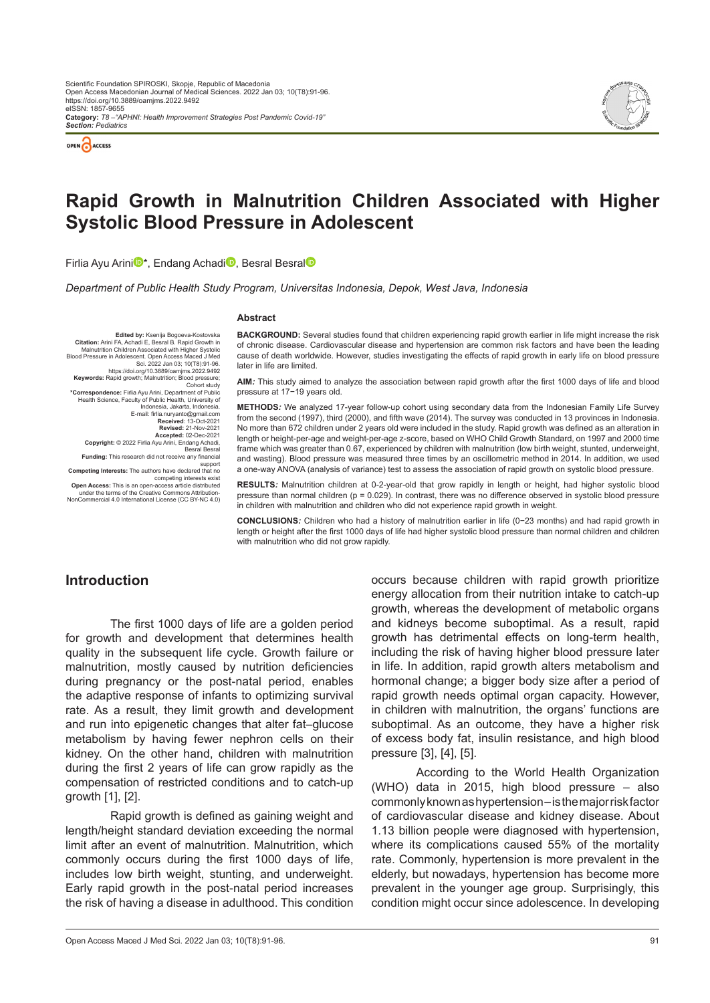

*Section: Pediatrics*



# **Rapid Growth in Malnutrition Children Associated with Higher Systolic Blood Pressure in Adolescent**

F[i](https://orcid.org/0000-0003-4390-4539
)rlia Ayu Arini<sup>n</sup>\*, Endang Acha[di](https://orcid.org/0000-0002-3255-5938)<sup>n</sup>, Besr[al](https://orcid.org/0000-0001-8140-7467) Besral<sup>n</sup>

*Department of Public Health Study Program, Universitas Indonesia, Depok, West Java, Indonesia*

#### **Abstract**

**Edited by:** Ksenija Bogoeva-Kostovska **Citation:** Arini FA, Achadi E, Besral B. Rapid Growth in Malnutrition Children Associated with Higher Systolic Blood Pressure in Adolescent. Open Access Maced J Med .Sci. 2022 Jan 03; 10(T8):91-96<br>https://doi.org/10.3889/oamjms.2022.9492<br>**;Keywords:** Rapid growth; Malnutrition; Blood pressure; Cohort study<br>Cohort study\*Correspondence: Firlia Avu Arini. Department of Public\* Correspondence: Firlia Ayu Arini, Department of Public\*<br>Health Science, Faculty of Public Health, University of<br>Indonesia, Jakarta, Indonesia<br>E-mail: firlia.nuryanto@gmail.com<br>Received: 13-Oct-2021<br>Revised: 21-Nov-2021 **Accepted:** 02-Dec-2021 **Copyright:** © 2022 Firlia Ayu Arini, Endang Achadi, Besral Besral **Funding:** This research did not receive any financial support **Competing Interests:** The authors have declared that no competing interests exist **Open Access:** This is an open-access article distributed under the terms of the Creative Commons Attribution-NonCommercial 4.0 International License (CC BY-NC 4.0)

**BACKGROUND:** Several studies found that children experiencing rapid growth earlier in life might increase the risk of chronic disease. Cardiovascular disease and hypertension are common risk factors and have been the leading cause of death worldwide. However, studies investigating the effects of rapid growth in early life on blood pressure later in life are limited.

**AIM***:* This study aimed to analyze the association between rapid growth after the first 1000 days of life and blood pressure at 17−19 years old.

**METHODS***:* We analyzed 17-year follow-up cohort using secondary data from the Indonesian Family Life Survey from the second (1997), third (2000), and fifth wave (2014). The survey was conducted in 13 provinces in Indonesia. No more than 672 children under 2 years old were included in the study. Rapid growth was defined as an alteration in length or height-per-age and weight-per-age z-score, based on WHO Child Growth Standard, on 1997 and 2000 time frame which was greater than 0.67, experienced by children with malnutrition (low birth weight, stunted, underweight, and wasting). Blood pressure was measured three times by an oscillometric method in 2014. In addition, we used a one-way ANOVA (analysis of variance) test to assess the association of rapid growth on systolic blood pressure.

**RESULTS***:* Malnutrition children at 0-2-year-old that grow rapidly in length or height, had higher systolic blood pressure than normal children (p = 0.029). In contrast, there was no difference observed in systolic blood pressure in children with malnutrition and children who did not experience rapid growth in weight.

**CONCLUSIONS***:* Children who had a history of malnutrition earlier in life (0−23 months) and had rapid growth in length or height after the first 1000 days of life had higher systolic blood pressure than normal children and children with malnutrition who did not grow rapidly.

### **Introduction**

The first 1000 days of life are a golden period for growth and development that determines health quality in the subsequent life cycle. Growth failure or malnutrition, mostly caused by nutrition deficiencies during pregnancy or the post-natal period, enables the adaptive response of infants to optimizing survival rate. As a result, they limit growth and development and run into epigenetic changes that alter fat–glucose metabolism by having fewer nephron cells on their kidney. On the other hand, children with malnutrition during the first 2 years of life can grow rapidly as the compensation of restricted conditions and to catch-up growth [1], [2].

Rapid growth is defined as gaining weight and length/height standard deviation exceeding the normal limit after an event of malnutrition. Malnutrition, which commonly occurs during the first 1000 days of life, includes low birth weight, stunting, and underweight. Early rapid growth in the post-natal period increases the risk of having a disease in adulthood. This condition

occurs because children with rapid growth prioritize energy allocation from their nutrition intake to catch-up growth, whereas the development of metabolic organs and kidneys become suboptimal. As a result, rapid growth has detrimental effects on long-term health, including the risk of having higher blood pressure later in life. In addition, rapid growth alters metabolism and hormonal change; a bigger body size after a period of rapid growth needs optimal organ capacity. However, in children with malnutrition, the organs' functions are suboptimal. As an outcome, they have a higher risk of excess body fat, insulin resistance, and high blood pressure [3], [4], [5].

According to the World Health Organization (WHO) data in 2015, high blood pressure – also commonly known as hypertension – is the major risk factor of cardiovascular disease and kidney disease. About 1.13 billion people were diagnosed with hypertension, where its complications caused 55% of the mortality rate. Commonly, hypertension is more prevalent in the elderly, but nowadays, hypertension has become more prevalent in the younger age group. Surprisingly, this condition might occur since adolescence. In developing

Open Access Maced J Med Sci. 2022 Jan 03; 10(T8):91-96. 91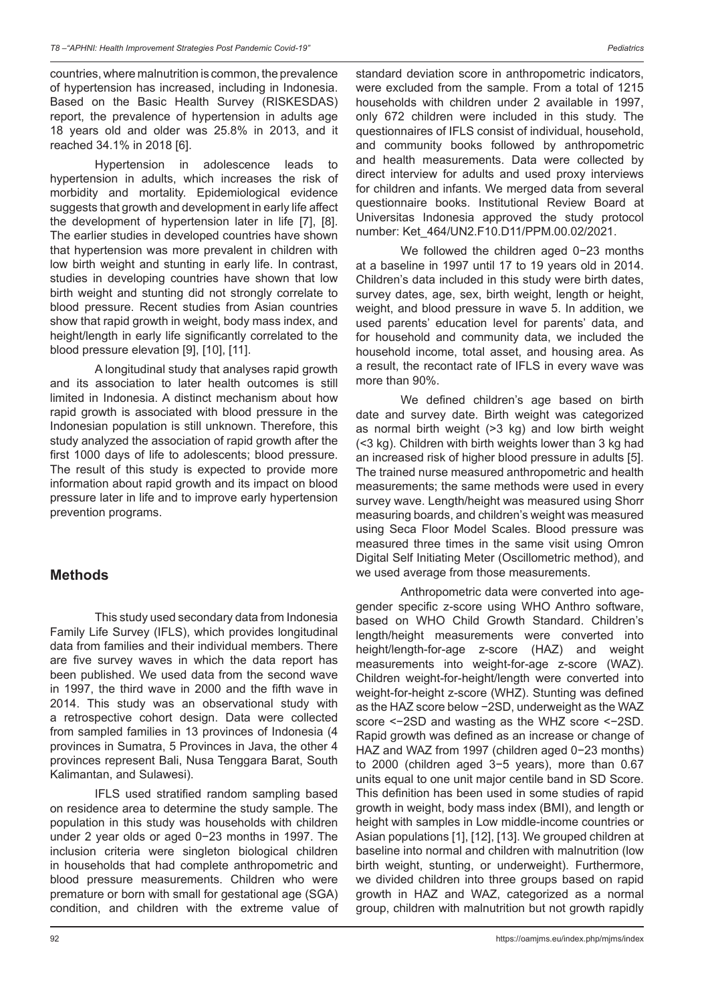countries, where malnutrition is common, the prevalence of hypertension has increased, including in Indonesia. Based on the Basic Health Survey (RISKESDAS) report, the prevalence of hypertension in adults age 18 years old and older was 25.8% in 2013, and it reached 34.1% in 2018 [6].

Hypertension in adolescence leads to hypertension in adults, which increases the risk of morbidity and mortality. Epidemiological evidence suggests that growth and development in early life affect the development of hypertension later in life [7], [8]. The earlier studies in developed countries have shown that hypertension was more prevalent in children with low birth weight and stunting in early life. In contrast, studies in developing countries have shown that low birth weight and stunting did not strongly correlate to blood pressure. Recent studies from Asian countries show that rapid growth in weight, body mass index, and height/length in early life significantly correlated to the blood pressure elevation [9], [10], [11].

A longitudinal study that analyses rapid growth and its association to later health outcomes is still limited in Indonesia. A distinct mechanism about how rapid growth is associated with blood pressure in the Indonesian population is still unknown. Therefore, this study analyzed the association of rapid growth after the first 1000 days of life to adolescents; blood pressure. The result of this study is expected to provide more information about rapid growth and its impact on blood pressure later in life and to improve early hypertension prevention programs.

### **Methods**

This study used secondary data from Indonesia Family Life Survey (IFLS), which provides longitudinal data from families and their individual members. There are five survey waves in which the data report has been published. We used data from the second wave in 1997, the third wave in 2000 and the fifth wave in 2014. This study was an observational study with a retrospective cohort design. Data were collected from sampled families in 13 provinces of Indonesia (4 provinces in Sumatra, 5 Provinces in Java, the other 4 provinces represent Bali, Nusa Tenggara Barat, South Kalimantan, and Sulawesi).

IFLS used stratified random sampling based on residence area to determine the study sample. The population in this study was households with children under 2 year olds or aged 0−23 months in 1997. The inclusion criteria were singleton biological children in households that had complete anthropometric and blood pressure measurements. Children who were premature or born with small for gestational age (SGA) condition, and children with the extreme value of standard deviation score in anthropometric indicators. were excluded from the sample. From a total of 1215 households with children under 2 available in 1997, only 672 children were included in this study. The questionnaires of IFLS consist of individual, household, and community books followed by anthropometric and health measurements. Data were collected by direct interview for adults and used proxy interviews for children and infants. We merged data from several questionnaire books. Institutional Review Board at Universitas Indonesia approved the study protocol number: Ket\_464/UN2.F10.D11/PPM.00.02/2021.

We followed the children aged 0−23 months at a baseline in 1997 until 17 to 19 years old in 2014. Children's data included in this study were birth dates, survey dates, age, sex, birth weight, length or height, weight, and blood pressure in wave 5. In addition, we used parents' education level for parents' data, and for household and community data, we included the household income, total asset, and housing area. As a result, the recontact rate of IFLS in every wave was more than 90%.

We defined children's age based on birth date and survey date. Birth weight was categorized as normal birth weight (>3 kg) and low birth weight (<3 kg). Children with birth weights lower than 3 kg had an increased risk of higher blood pressure in adults [5]. The trained nurse measured anthropometric and health measurements; the same methods were used in every survey wave. Length/height was measured using Shorr measuring boards, and children's weight was measured using Seca Floor Model Scales. Blood pressure was measured three times in the same visit using Omron Digital Self Initiating Meter (Oscillometric method), and we used average from those measurements.

Anthropometric data were converted into agegender specific z-score using WHO Anthro software, based on WHO Child Growth Standard. Children's length/height measurements were converted into height/length-for-age z-score (HAZ) and weight measurements into weight-for-age z-score (WAZ). Children weight-for-height/length were converted into weight-for-height z-score (WHZ). Stunting was defined as the HAZ score below −2SD, underweight as the WAZ score <−2SD and wasting as the WHZ score <−2SD. Rapid growth was defined as an increase or change of HAZ and WAZ from 1997 (children aged 0−23 months) to 2000 (children aged 3−5 years), more than 0.67 units equal to one unit major centile band in SD Score. This definition has been used in some studies of rapid growth in weight, body mass index (BMI), and length or height with samples in Low middle-income countries or Asian populations [1], [12], [13]. We grouped children at baseline into normal and children with malnutrition (low birth weight, stunting, or underweight). Furthermore, we divided children into three groups based on rapid growth in HAZ and WAZ, categorized as a normal group, children with malnutrition but not growth rapidly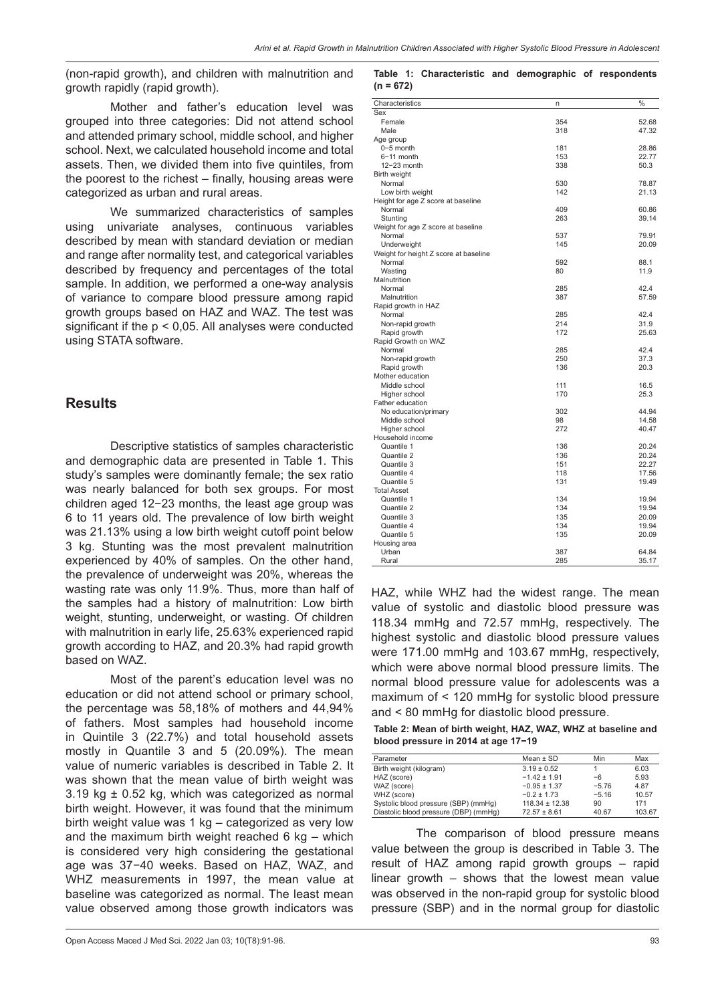(non-rapid growth), and children with malnutrition and growth rapidly (rapid growth).

Mother and father's education level was grouped into three categories: Did not attend school and attended primary school, middle school, and higher school. Next, we calculated household income and total assets. Then, we divided them into five quintiles, from the poorest to the richest – finally, housing areas were categorized as urban and rural areas.

We summarized characteristics of samples using univariate analyses, continuous variables described by mean with standard deviation or median and range after normality test, and categorical variables described by frequency and percentages of the total sample. In addition, we performed a one-way analysis of variance to compare blood pressure among rapid growth groups based on HAZ and WAZ. The test was significant if the p < 0,05. All analyses were conducted using STATA software.

### **Results**

Descriptive statistics of samples characteristic and demographic data are presented in Table 1. This study's samples were dominantly female; the sex ratio was nearly balanced for both sex groups. For most children aged 12−23 months, the least age group was 6 to 11 years old. The prevalence of low birth weight was 21.13% using a low birth weight cutoff point below 3 kg. Stunting was the most prevalent malnutrition experienced by 40% of samples. On the other hand, the prevalence of underweight was 20%, whereas the wasting rate was only 11.9%. Thus, more than half of the samples had a history of malnutrition: Low birth weight, stunting, underweight, or wasting. Of children with malnutrition in early life, 25.63% experienced rapid growth according to HAZ, and 20.3% had rapid growth based on WAZ.

Most of the parent's education level was no education or did not attend school or primary school, the percentage was 58,18% of mothers and 44,94% of fathers. Most samples had household income in Quintile 3 (22.7%) and total household assets mostly in Quantile 3 and 5 (20.09%). The mean value of numeric variables is described in Table 2. It was shown that the mean value of birth weight was  $3.19$  kg  $\pm$  0.52 kg, which was categorized as normal birth weight. However, it was found that the minimum birth weight value was 1 kg – categorized as very low and the maximum birth weight reached 6 kg – which is considered very high considering the gestational age was 37−40 weeks. Based on HAZ, WAZ, and WHZ measurements in 1997, the mean value at baseline was categorized as normal. The least mean value observed among those growth indicators was

#### **Table 1: Characteristic and demographic of respondents (n = 672)**

| Characteristics                       | n   | $\frac{1}{2}$ |
|---------------------------------------|-----|---------------|
| Sex                                   |     |               |
| Female                                | 354 | 52.68         |
| Male                                  | 318 | 47.32         |
| Age group                             |     |               |
| $0-5$ month                           | 181 | 28.86         |
| $6-11$ month                          | 153 | 22.77         |
| $12 - 23$ month                       | 338 | 50.3          |
| Birth weight                          |     |               |
| Normal                                | 530 | 78.87         |
| Low birth weight                      | 142 | 21.13         |
| Height for age Z score at baseline    |     |               |
| Normal                                | 409 | 60.86         |
| Stunting                              | 263 | 39.14         |
| Weight for age Z score at baseline    |     |               |
| Normal                                | 537 | 79.91         |
| Underweight                           | 145 | 20.09         |
| Weight for height Z score at baseline |     |               |
| Normal                                | 592 | 88.1          |
| Wasting                               | 80  | 11.9          |
| Malnutrition                          |     |               |
| Normal                                | 285 | 42.4          |
| Malnutrition                          | 387 | 57.59         |
| Rapid growth in HAZ                   |     |               |
| Normal                                | 285 | 42.4          |
| Non-rapid growth                      | 214 | 31.9          |
| Rapid growth                          | 172 | 25.63         |
| Rapid Growth on WAZ                   |     |               |
| Normal                                | 285 | 42.4          |
| Non-rapid growth                      | 250 | 37.3          |
| Rapid growth                          | 136 | 20.3          |
| Mother education                      |     |               |
| Middle school                         | 111 | 16.5          |
| Higher school                         | 170 | 25.3          |
| Father education                      |     |               |
| No education/primary                  | 302 | 44.94         |
| Middle school                         | 98  | 14.58         |
| Higher school                         | 272 | 40.47         |
| Household income                      |     |               |
| Quantile 1                            | 136 | 20.24         |
| Quantile 2                            | 136 | 20.24         |
| Quantile 3                            | 151 | 22.27         |
| Quantile 4                            | 118 | 17.56         |
| Quantile 5                            | 131 | 19.49         |
| <b>Total Asset</b>                    |     |               |
| Quantile 1                            | 134 | 19.94         |
| Quantile 2                            | 134 | 19.94         |
| Quantile 3                            | 135 | 20.09         |
| Quantile 4                            | 134 | 19.94         |
| Quantile 5                            | 135 | 20.09         |
| Housing area                          |     |               |
| Urban                                 | 387 | 64.84         |
| Rural                                 | 285 | 35.17         |

HAZ, while WHZ had the widest range. The mean value of systolic and diastolic blood pressure was 118.34 mmHg and 72.57 mmHg, respectively. The highest systolic and diastolic blood pressure values were 171.00 mmHg and 103.67 mmHg, respectively, which were above normal blood pressure limits. The normal blood pressure value for adolescents was a maximum of < 120 mmHg for systolic blood pressure and < 80 mmHg for diastolic blood pressure.

**Table 2: Mean of birth weight, HAZ, WAZ, WHZ at baseline and blood pressure in 2014 at age 17−19**

| Parameter                             | Mean $\pm$ SD      | Min     | Max    |
|---------------------------------------|--------------------|---------|--------|
| Birth weight (kilogram)               | $3.19 \pm 0.52$    |         | 6.03   |
| HAZ (score)                           | $-1.42 \pm 1.91$   | $-6$    | 5.93   |
| WAZ (score)                           | $-0.95 \pm 1.37$   | $-5.76$ | 4.87   |
| WHZ (score)                           | $-0.2 \pm 1.73$    | $-5.16$ | 10.57  |
| Systolic blood pressure (SBP) (mmHg)  | $118.34 \pm 12.38$ | 90      | 171    |
| Diastolic blood pressure (DBP) (mmHq) | $72.57 \pm 8.61$   | 40.67   | 103.67 |

The comparison of blood pressure means value between the group is described in Table 3. The result of HAZ among rapid growth groups – rapid linear growth – shows that the lowest mean value was observed in the non-rapid group for systolic blood pressure (SBP) and in the normal group for diastolic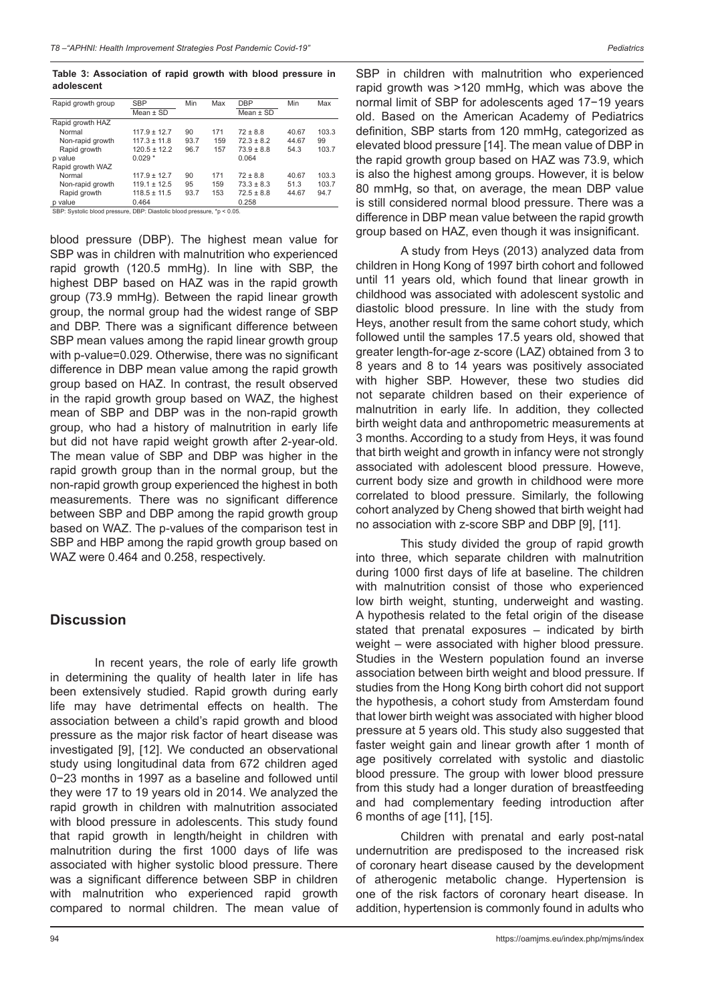**Table 3: Association of rapid growth with blood pressure in adolescent**

| Rapid growth group | <b>SBP</b>       | Min  | Max | <b>DBP</b>     | Min   | Max   |
|--------------------|------------------|------|-----|----------------|-------|-------|
|                    | Mean $\pm$ SD    |      |     | Mean $\pm$ SD  |       |       |
| Rapid growth HAZ   |                  |      |     |                |       |       |
| Normal             | $117.9 \pm 12.7$ | 90   | 171 | $72 \pm 8.8$   | 40.67 | 103.3 |
| Non-rapid growth   | $117.3 \pm 11.8$ | 93.7 | 159 | $72.3 \pm 8.2$ | 44.67 | 99    |
| Rapid growth       | $120.5 \pm 12.2$ | 96.7 | 157 | $73.9 \pm 8.8$ | 54.3  | 103.7 |
| p value            | $0.029*$         |      |     | 0.064          |       |       |
| Rapid growth WAZ   |                  |      |     |                |       |       |
| Normal             | $117.9 \pm 12.7$ | 90   | 171 | $72 \pm 8.8$   | 40.67 | 103.3 |
| Non-rapid growth   | $119.1 \pm 12.5$ | 95   | 159 | $73.3 \pm 8.3$ | 51.3  | 103.7 |
| Rapid growth       | $118.5 \pm 11.5$ | 93.7 | 153 | $72.5 \pm 8.8$ | 44.67 | 94.7  |
| n voluo            | 0.464            |      |     | 0.258          |       |       |

p value 0.464 0.258 SBP: Systolic blood pressure, DBP: Diastolic blood pressure, \*p < 0.05.

blood pressure (DBP). The highest mean value for SBP was in children with malnutrition who experienced rapid growth (120.5 mmHg). In line with SBP, the highest DBP based on HAZ was in the rapid growth group (73.9 mmHg). Between the rapid linear growth group, the normal group had the widest range of SBP and DBP. There was a significant difference between SBP mean values among the rapid linear growth group with p-value=0.029. Otherwise, there was no significant difference in DBP mean value among the rapid growth group based on HAZ. In contrast, the result observed in the rapid growth group based on WAZ, the highest mean of SBP and DBP was in the non-rapid growth group, who had a history of malnutrition in early life but did not have rapid weight growth after 2-year-old. The mean value of SBP and DBP was higher in the rapid growth group than in the normal group, but the non-rapid growth group experienced the highest in both measurements. There was no significant difference between SBP and DBP among the rapid growth group based on WAZ. The p-values of the comparison test in SBP and HBP among the rapid growth group based on WAZ were 0.464 and 0.258, respectively.

### **Discussion**

In recent years, the role of early life growth in determining the quality of health later in life has been extensively studied. Rapid growth during early life may have detrimental effects on health. The association between a child's rapid growth and blood pressure as the major risk factor of heart disease was investigated [9], [12]. We conducted an observational study using longitudinal data from 672 children aged 0−23 months in 1997 as a baseline and followed until they were 17 to 19 years old in 2014. We analyzed the rapid growth in children with malnutrition associated with blood pressure in adolescents. This study found that rapid growth in length/height in children with malnutrition during the first 1000 days of life was associated with higher systolic blood pressure. There was a significant difference between SBP in children with malnutrition who experienced rapid growth compared to normal children. The mean value of

SBP in children with malnutrition who experienced rapid growth was >120 mmHg, which was above the normal limit of SBP for adolescents aged 17−19 years old. Based on the American Academy of Pediatrics definition, SBP starts from 120 mmHg, categorized as elevated blood pressure [14]. The mean value of DBP in the rapid growth group based on HAZ was 73.9, which is also the highest among groups. However, it is below 80 mmHg, so that, on average, the mean DBP value is still considered normal blood pressure. There was a difference in DBP mean value between the rapid growth group based on HAZ, even though it was insignificant.

A study from Heys (2013) analyzed data from children in Hong Kong of 1997 birth cohort and followed until 11 years old, which found that linear growth in childhood was associated with adolescent systolic and diastolic blood pressure. In line with the study from Heys, another result from the same cohort study, which followed until the samples 17.5 years old, showed that greater length-for-age z-score (LAZ) obtained from 3 to 8 years and 8 to 14 years was positively associated with higher SBP. However, these two studies did not separate children based on their experience of malnutrition in early life. In addition, they collected birth weight data and anthropometric measurements at 3 months. According to a study from Heys, it was found that birth weight and growth in infancy were not strongly associated with adolescent blood pressure. Howeve, current body size and growth in childhood were more correlated to blood pressure. Similarly, the following cohort analyzed by Cheng showed that birth weight had no association with z-score SBP and DBP [9], [11].

This study divided the group of rapid growth into three, which separate children with malnutrition during 1000 first days of life at baseline. The children with malnutrition consist of those who experienced low birth weight, stunting, underweight and wasting. A hypothesis related to the fetal origin of the disease stated that prenatal exposures – indicated by birth weight – were associated with higher blood pressure. Studies in the Western population found an inverse association between birth weight and blood pressure. If studies from the Hong Kong birth cohort did not support the hypothesis, a cohort study from Amsterdam found that lower birth weight was associated with higher blood pressure at 5 years old. This study also suggested that faster weight gain and linear growth after 1 month of age positively correlated with systolic and diastolic blood pressure. The group with lower blood pressure from this study had a longer duration of breastfeeding and had complementary feeding introduction after 6 months of age [11], [15].

Children with prenatal and early post-natal undernutrition are predisposed to the increased risk of coronary heart disease caused by the development of atherogenic metabolic change. Hypertension is one of the risk factors of coronary heart disease. In addition, hypertension is commonly found in adults who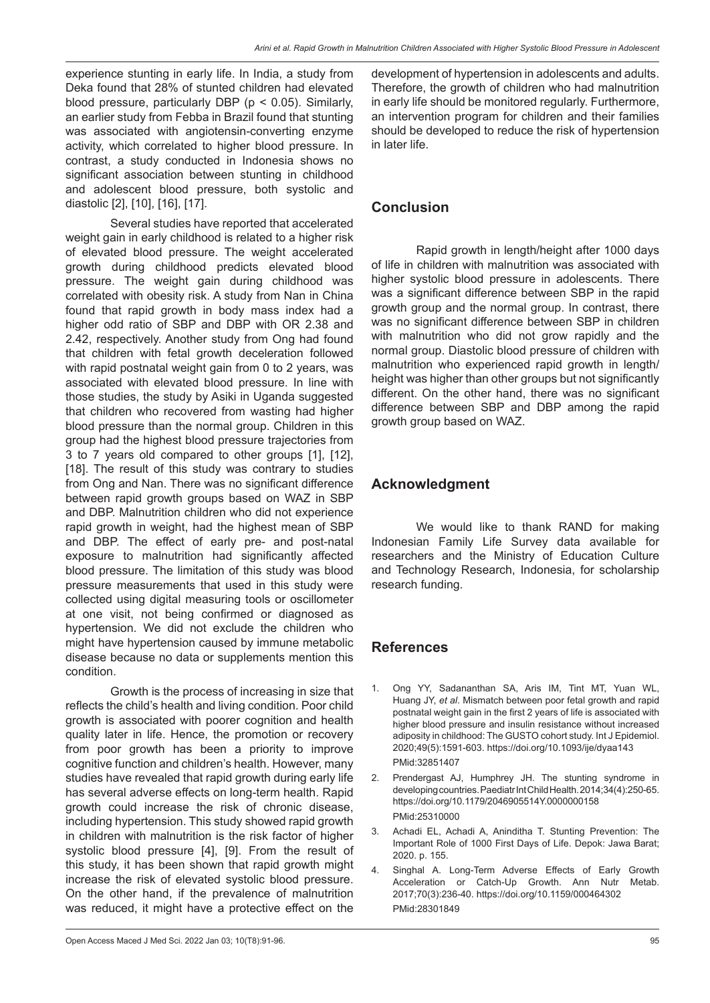experience stunting in early life. In India, a study from Deka found that 28% of stunted children had elevated blood pressure, particularly DBP (p < 0.05). Similarly, an earlier study from Febba in Brazil found that stunting was associated with angiotensin-converting enzyme activity, which correlated to higher blood pressure. In contrast, a study conducted in Indonesia shows no significant association between stunting in childhood and adolescent blood pressure, both systolic and diastolic [2], [10], [16], [17].

Several studies have reported that accelerated weight gain in early childhood is related to a higher risk of elevated blood pressure. The weight accelerated growth during childhood predicts elevated blood pressure. The weight gain during childhood was correlated with obesity risk. A study from Nan in China found that rapid growth in body mass index had a higher odd ratio of SBP and DBP with OR 2.38 and 2.42, respectively. Another study from Ong had found that children with fetal growth deceleration followed with rapid postnatal weight gain from 0 to 2 years, was associated with elevated blood pressure. In line with those studies, the study by Asiki in Uganda suggested that children who recovered from wasting had higher blood pressure than the normal group. Children in this group had the highest blood pressure trajectories from 3 to 7 years old compared to other groups [1], [12], [18]. The result of this study was contrary to studies from Ong and Nan. There was no significant difference between rapid growth groups based on WAZ in SBP and DBP. Malnutrition children who did not experience rapid growth in weight, had the highest mean of SBP and DBP. The effect of early pre- and post-natal exposure to malnutrition had significantly affected blood pressure. The limitation of this study was blood pressure measurements that used in this study were collected using digital measuring tools or oscillometer at one visit, not being confirmed or diagnosed as hypertension. We did not exclude the children who might have hypertension caused by immune metabolic disease because no data or supplements mention this condition.

Growth is the process of increasing in size that reflects the child's health and living condition. Poor child growth is associated with poorer cognition and health quality later in life. Hence, the promotion or recovery from poor growth has been a priority to improve cognitive function and children's health. However, many studies have revealed that rapid growth during early life has several adverse effects on long-term health. Rapid growth could increase the risk of chronic disease, including hypertension. This study showed rapid growth in children with malnutrition is the risk factor of higher systolic blood pressure [4], [9]. From the result of this study, it has been shown that rapid growth might increase the risk of elevated systolic blood pressure. On the other hand, if the prevalence of malnutrition was reduced, it might have a protective effect on the development of hypertension in adolescents and adults. Therefore, the growth of children who had malnutrition in early life should be monitored regularly. Furthermore, an intervention program for children and their families should be developed to reduce the risk of hypertension in later life.

## **Conclusion**

Rapid growth in length/height after 1000 days of life in children with malnutrition was associated with higher systolic blood pressure in adolescents. There was a significant difference between SBP in the rapid growth group and the normal group. In contrast, there was no significant difference between SBP in children with malnutrition who did not grow rapidly and the normal group. Diastolic blood pressure of children with malnutrition who experienced rapid growth in length/ height was higher than other groups but not significantly different. On the other hand, there was no significant difference between SBP and DBP among the rapid growth group based on WAZ.

## **Acknowledgment**

We would like to thank RAND for making Indonesian Family Life Survey data available for researchers and the Ministry of Education Culture and Technology Research, Indonesia, for scholarship research funding.

## **References**

- 1. Ong YY, Sadananthan SA, Aris IM, Tint MT, Yuan WL, Huang JY, *et al*. Mismatch between poor fetal growth and rapid postnatal weight gain in the first 2 years of life is associated with higher blood pressure and insulin resistance without increased adiposity in childhood: The GUSTO cohort study. Int J Epidemiol. 2020;49(5):1591-603. https://doi.org/10.1093/ije/dyaa143 PMid:32851407
- 2. Prendergast AJ, Humphrey JH. The stunting syndrome in developing countries. Paediatr Int Child Health. 2014;34(4):250-65. https://doi.org/10.1179/2046905514Y.0000000158 PMid:25310000
- 3. Achadi EL, Achadi A, Aninditha T. Stunting Prevention: The Important Role of 1000 First Days of Life. Depok: Jawa Barat; 2020. p. 155.
- 4. Singhal A. Long-Term Adverse Effects of Early Growth Acceleration or Catch-Up Growth. Ann Nutr Metab. 2017;70(3):236-40. https://doi.org/10.1159/000464302 PMid:28301849